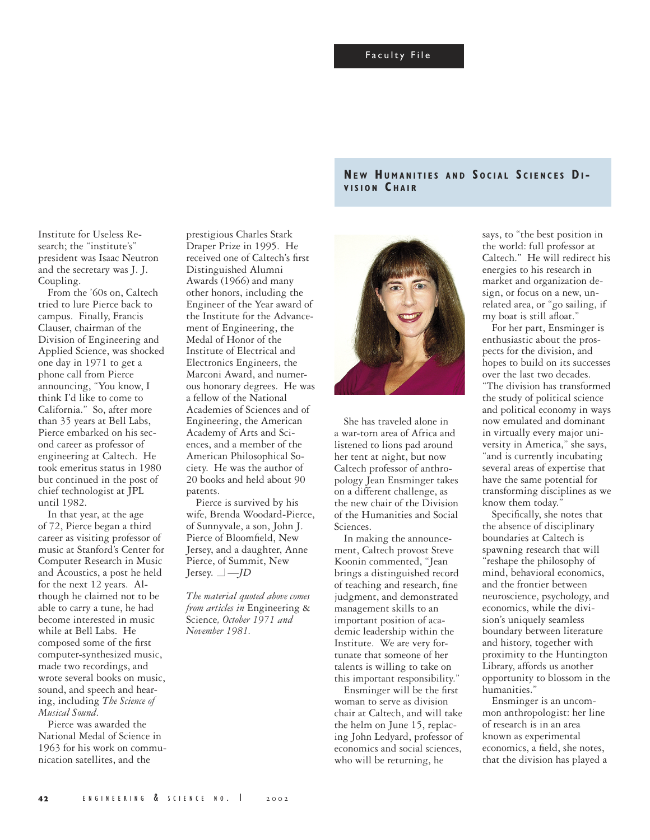Institute for Useless Research; the "institute's" president was Isaac Neutron and the secretary was J. J. Coupling.

From the '60s on, Caltech tried to lure Pierce back to campus. Finally, Francis Clauser, chairman of the Division of Engineering and Applied Science, was shocked one day in 1971 to get a phone call from Pierce announcing, "You know, I think I'd like to come to California." So, after more than 35 years at Bell Labs, Pierce embarked on his second career as professor of engineering at Caltech. He took emeritus status in 1980 but continued in the post of chief technologist at JPL until 1982.

In that year, at the age of 72, Pierce began a third career as visiting professor of music at Stanford's Center for Computer Research in Music and Acoustics, a post he held for the next 12 years. Although he claimed not to be able to carry a tune, he had become interested in music while at Bell Labs. He composed some of the first computer-synthesized music, made two recordings, and wrote several books on music, sound, and speech and hearing, including *The Science of Musical Sound*.

Pierce was awarded the National Medal of Science in 1963 for his work on communication satellites, and the

prestigious Charles Stark Draper Prize in 1995. He received one of Caltech's first Distinguished Alumni Awards (1966) and many other honors, including the Engineer of the Year award of the Institute for the Advancement of Engineering, the Medal of Honor of the Institute of Electrical and Electronics Engineers, the Marconi Award, and numerous honorary degrees. He was a fellow of the National Academies of Sciences and of Engineering, the American Academy of Arts and Sciences, and a member of the American Philosophical Society. He was the author of 20 books and held about 90 patents.

Pierce is survived by his wife, Brenda Woodard-Pierce, of Sunnyvale, a son, John J. Pierce of Bloomfield, New Jersey, and a daughter, Anne Pierce, of Summit, New Jersey. ■ —*JD*

*The material quoted above comes from articles in* Engineering & Science*, October 1971 and November 1981.*





She has traveled alone in a war-torn area of Africa and listened to lions pad around her tent at night, but now Caltech professor of anthropology Jean Ensminger takes on a different challenge, as the new chair of the Division of the Humanities and Social Sciences.

In making the announcement, Caltech provost Steve Koonin commented, "Jean brings a distinguished record of teaching and research, fine judgment, and demonstrated management skills to an important position of academic leadership within the Institute. We are very fortunate that someone of her talents is willing to take on this important responsibility."

Ensminger will be the first woman to serve as division chair at Caltech, and will take the helm on June 15, replacing John Ledyard, professor of economics and social sciences, who will be returning, he

says, to "the best position in the world: full professor at Caltech." He will redirect his energies to his research in market and organization design, or focus on a new, unrelated area, or "go sailing, if my boat is still afloat."

For her part, Ensminger is enthusiastic about the prospects for the division, and hopes to build on its successes over the last two decades.

"The division has transformed the study of political science and political economy in ways now emulated and dominant in virtually every major university in America," she says, "and is currently incubating several areas of expertise that have the same potential for transforming disciplines as we know them today.'

Specifically, she notes that the absence of disciplinary boundaries at Caltech is spawning research that will "reshape the philosophy of mind, behavioral economics, and the frontier between neuroscience, psychology, and economics, while the division's uniquely seamless boundary between literature and history, together with proximity to the Huntington Library, affords us another opportunity to blossom in the humanities."

Ensminger is an uncommon anthropologist: her line of research is in an area known as experimental economics, a field, she notes, that the division has played a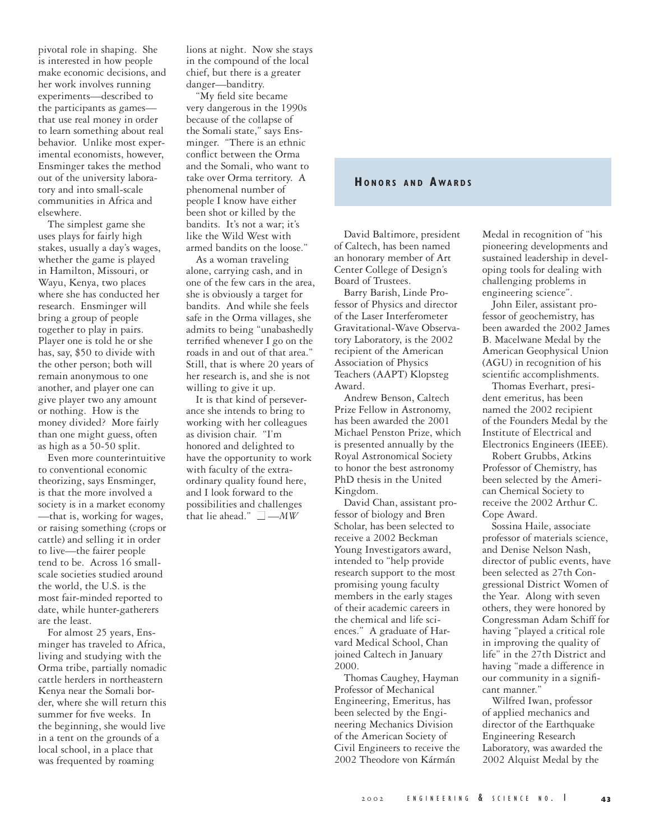pivotal role in shaping. She is interested in how people make economic decisions, and her work involves running experiments—described to the participants as games that use real money in order to learn something about real behavior. Unlike most experimental economists, however, Ensminger takes the method out of the university laboratory and into small-scale communities in Africa and elsewhere.

The simplest game she uses plays for fairly high stakes, usually a day's wages, whether the game is played in Hamilton, Missouri, or Wayu, Kenya, two places where she has conducted her research. Ensminger will bring a group of people together to play in pairs. Player one is told he or she has, say, \$50 to divide with the other person; both will remain anonymous to one another, and player one can give player two any amount or nothing. How is the money divided? More fairly than one might guess, often as high as a 50-50 split.

Even more counterintuitive to conventional economic theorizing, says Ensminger, is that the more involved a society is in a market economy —that is, working for wages, or raising something (crops or cattle) and selling it in order to live—the fairer people tend to be. Across 16 smallscale societies studied around the world, the U.S. is the most fair-minded reported to date, while hunter-gatherers are the least.

For almost 25 years, Ensminger has traveled to Africa, living and studying with the Orma tribe, partially nomadic cattle herders in northeastern Kenya near the Somali border, where she will return this summer for five weeks. In the beginning, she would live in a tent on the grounds of a local school, in a place that was frequented by roaming

lions at night. Now she stays in the compound of the local chief, but there is a greater danger—banditry.

"My field site became very dangerous in the 1990s because of the collapse of the Somali state," says Ensminger. "There is an ethnic conflict between the Orma and the Somali, who want to take over Orma territory. A phenomenal number of people I know have either been shot or killed by the bandits. It's not a war; it's like the Wild West with armed bandits on the loose."

As a woman traveling alone, carrying cash, and in one of the few cars in the area, she is obviously a target for bandits. And while she feels safe in the Orma villages, she admits to being "unabashedly terrified whenever I go on the roads in and out of that area." Still, that is where 20 years of her research is, and she is not willing to give it up.

It is that kind of perseverance she intends to bring to working with her colleagues as division chair. "I'm honored and delighted to have the opportunity to work with faculty of the extraordinary quality found here, and I look forward to the possibilities and challenges that lie ahead."  $\Box - MW$ 

## **HO N O R S A N D A WA R D S**

David Baltimore, president of Caltech, has been named an honorary member of Art Center College of Design's Board of Trustees.

Barry Barish, Linde Professor of Physics and director of the Laser Interferometer Gravitational-Wave Observatory Laboratory, is the 2002 recipient of the American Association of Physics Teachers (AAPT) Klopsteg Award.

Andrew Benson, Caltech Prize Fellow in Astronomy, has been awarded the 2001 Michael Penston Prize, which is presented annually by the Royal Astronomical Society to honor the best astronomy PhD thesis in the United Kingdom.

David Chan, assistant professor of biology and Bren Scholar, has been selected to receive a 2002 Beckman Young Investigators award, intended to "help provide research support to the most promising young faculty members in the early stages of their academic careers in the chemical and life sciences." A graduate of Harvard Medical School, Chan joined Caltech in January 2000.

Thomas Caughey, Hayman Professor of Mechanical Engineering, Emeritus, has been selected by the Engineering Mechanics Division of the American Society of Civil Engineers to receive the 2002 Theodore von Kármán

Medal in recognition of "his pioneering developments and sustained leadership in developing tools for dealing with challenging problems in engineering science".

John Eiler, assistant professor of geochemistry, has been awarded the 2002 James B. Macelwane Medal by the American Geophysical Union (AGU) in recognition of his scientific accomplishments.

Thomas Everhart, president emeritus, has been named the 2002 recipient of the Founders Medal by the Institute of Electrical and Electronics Engineers (IEEE).

Robert Grubbs, Atkins Professor of Chemistry, has been selected by the American Chemical Society to receive the 2002 Arthur C. Cope Award.

Sossina Haile, associate professor of materials science, and Denise Nelson Nash, director of public events, have been selected as 27th Congressional District Women of the Year. Along with seven others, they were honored by Congressman Adam Schiff for having "played a critical role in improving the quality of life" in the 27th District and having "made a difference in our community in a significant manner."

Wilfred Iwan, professor of applied mechanics and director of the Earthquake Engineering Research Laboratory, was awarded the 2002 Alquist Medal by the